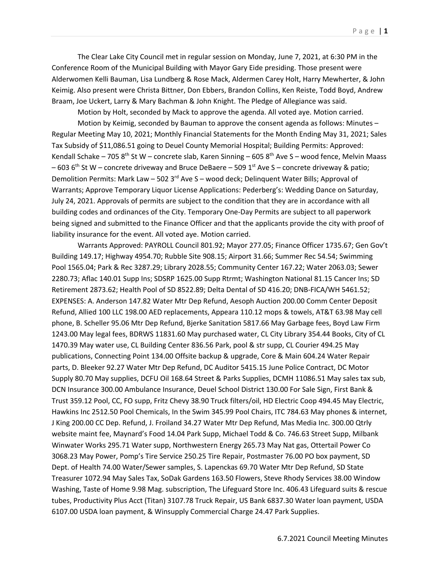The Clear Lake City Council met in regular session on Monday, June 7, 2021, at 6:30 PM in the Conference Room of the Municipal Building with Mayor Gary Eide presiding. Those present were Alderwomen Kelli Bauman, Lisa Lundberg & Rose Mack, Aldermen Carey Holt, Harry Mewherter, & John Keimig. Also present were Christa Bittner, Don Ebbers, Brandon Collins, Ken Reiste, Todd Boyd, Andrew Braam, Joe Uckert, Larry & Mary Bachman & John Knight. The Pledge of Allegiance was said.

Motion by Holt, seconded by Mack to approve the agenda. All voted aye. Motion carried.

Motion by Keimig, seconded by Bauman to approve the consent agenda as follows: Minutes – Regular Meeting May 10, 2021; Monthly Financial Statements for the Month Ending May 31, 2021; Sales Tax Subsidy of \$11,086.51 going to Deuel County Memorial Hospital; Building Permits: Approved: Kendall Schake – 705 8<sup>th</sup> St W – concrete slab, Karen Sinning – 605 8<sup>th</sup> Ave S – wood fence, Melvin Maass  $-603$  6<sup>th</sup> St W – concrete driveway and Bruce DeBaere – 509 1<sup>st</sup> Ave S – concrete driveway & patio; Demolition Permits: Mark Law – 502 3<sup>rd</sup> Ave S – wood deck; Delinquent Water Bills; Approval of Warrants; Approve Temporary Liquor License Applications: Pederberg's: Wedding Dance on Saturday, July 24, 2021. Approvals of permits are subject to the condition that they are in accordance with all building codes and ordinances of the City. Temporary One-Day Permits are subject to all paperwork being signed and submitted to the Finance Officer and that the applicants provide the city with proof of liability insurance for the event. All voted aye. Motion carried.

Warrants Approved: PAYROLL Council 801.92; Mayor 277.05; Finance Officer 1735.67; Gen Gov't Building 149.17; Highway 4954.70; Rubble Site 908.15; Airport 31.66; Summer Rec 54.54; Swimming Pool 1565.04; Park & Rec 3287.29; Library 2028.55; Community Center 167.22; Water 2063.03; Sewer 2280.73; Aflac 140.01 Supp Ins; SDSRP 1625.00 Supp Rtrmt; Washington National 81.15 Cancer Ins; SD Retirement 2873.62; Health Pool of SD 8522.89; Delta Dental of SD 416.20; DNB-FICA/WH 5461.52; EXPENSES: A. Anderson 147.82 Water Mtr Dep Refund, Aesoph Auction 200.00 Comm Center Deposit Refund, Allied 100 LLC 198.00 AED replacements, Appeara 110.12 mops & towels, AT&T 63.98 May cell phone, B. Scheller 95.06 Mtr Dep Refund, Bjerke Sanitation 5817.66 May Garbage fees, Boyd Law Firm 1243.00 May legal fees, BDRWS 11831.60 May purchased water, CL City Library 354.44 Books, City of CL 1470.39 May water use, CL Building Center 836.56 Park, pool & str supp, CL Courier 494.25 May publications, Connecting Point 134.00 Offsite backup & upgrade, Core & Main 604.24 Water Repair parts, D. Bleeker 92.27 Water Mtr Dep Refund, DC Auditor 5415.15 June Police Contract, DC Motor Supply 80.70 May supplies, DCFU Oil 168.64 Street & Parks Supplies, DCMH 11086.51 May sales tax sub, DCN Insurance 300.00 Ambulance Insurance, Deuel School District 130.00 For Sale Sign, First Bank & Trust 359.12 Pool, CC, FO supp, Fritz Chevy 38.90 Truck filters/oil, HD Electric Coop 494.45 May Electric, Hawkins Inc 2512.50 Pool Chemicals, In the Swim 345.99 Pool Chairs, ITC 784.63 May phones & internet, J King 200.00 CC Dep. Refund, J. Froiland 34.27 Water Mtr Dep Refund, Mas Media Inc. 300.00 Qtrly website maint fee, Maynard's Food 14.04 Park Supp, Michael Todd & Co. 746.63 Street Supp, Milbank Winwater Works 295.71 Water supp, Northwestern Energy 265.73 May Nat gas, Ottertail Power Co 3068.23 May Power, Pomp's Tire Service 250.25 Tire Repair, Postmaster 76.00 PO box payment, SD Dept. of Health 74.00 Water/Sewer samples, S. Lapenckas 69.70 Water Mtr Dep Refund, SD State Treasurer 1072.94 May Sales Tax, SoDak Gardens 163.50 Flowers, Steve Rhody Services 38.00 Window Washing, Taste of Home 9.98 Mag. subscription, The Lifeguard Store Inc. 406.43 Lifeguard suits & rescue tubes, Productivity Plus Acct (Titan) 3107.78 Truck Repair, US Bank 6837.30 Water loan payment, USDA 6107.00 USDA loan payment, & Winsupply Commercial Charge 24.47 Park Supplies.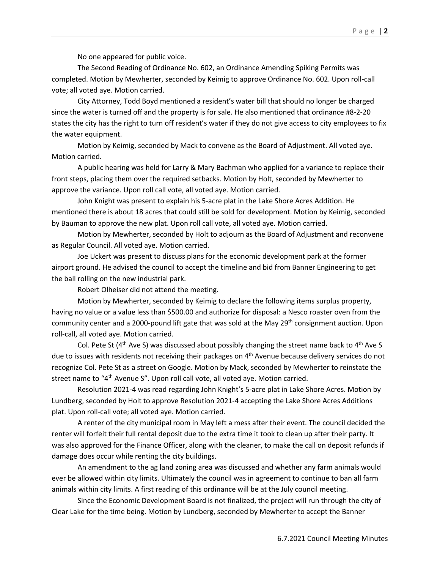No one appeared for public voice.

The Second Reading of Ordinance No. 602, an Ordinance Amending Spiking Permits was completed. Motion by Mewherter, seconded by Keimig to approve Ordinance No. 602. Upon roll-call vote; all voted aye. Motion carried.

City Attorney, Todd Boyd mentioned a resident's water bill that should no longer be charged since the water is turned off and the property is for sale. He also mentioned that ordinance #8-2-20 states the city has the right to turn off resident's water if they do not give access to city employees to fix the water equipment.

Motion by Keimig, seconded by Mack to convene as the Board of Adjustment. All voted aye. Motion carried.

A public hearing was held for Larry & Mary Bachman who applied for a variance to replace their front steps, placing them over the required setbacks. Motion by Holt, seconded by Mewherter to approve the variance. Upon roll call vote, all voted aye. Motion carried.

John Knight was present to explain his 5-acre plat in the Lake Shore Acres Addition. He mentioned there is about 18 acres that could still be sold for development. Motion by Keimig, seconded by Bauman to approve the new plat. Upon roll call vote, all voted aye. Motion carried.

Motion by Mewherter, seconded by Holt to adjourn as the Board of Adjustment and reconvene as Regular Council. All voted aye. Motion carried.

Joe Uckert was present to discuss plans for the economic development park at the former airport ground. He advised the council to accept the timeline and bid from Banner Engineering to get the ball rolling on the new industrial park.

Robert Olheiser did not attend the meeting.

Motion by Mewherter, seconded by Keimig to declare the following items surplus property, having no value or a value less than \$500.00 and authorize for disposal: a Nesco roaster oven from the community center and a 2000-pound lift gate that was sold at the May 29<sup>th</sup> consignment auction. Upon roll-call, all voted aye. Motion carried.

Col. Pete St ( $4<sup>th</sup>$  Ave S) was discussed about possibly changing the street name back to  $4<sup>th</sup>$  Ave S due to issues with residents not receiving their packages on 4<sup>th</sup> Avenue because delivery services do not recognize Col. Pete St as a street on Google. Motion by Mack, seconded by Mewherter to reinstate the street name to "4<sup>th</sup> Avenue S". Upon roll call vote, all voted aye. Motion carried.

Resolution 2021-4 was read regarding John Knight's 5-acre plat in Lake Shore Acres. Motion by Lundberg, seconded by Holt to approve Resolution 2021-4 accepting the Lake Shore Acres Additions plat. Upon roll-call vote; all voted aye. Motion carried.

A renter of the city municipal room in May left a mess after their event. The council decided the renter will forfeit their full rental deposit due to the extra time it took to clean up after their party. It was also approved for the Finance Officer, along with the cleaner, to make the call on deposit refunds if damage does occur while renting the city buildings.

An amendment to the ag land zoning area was discussed and whether any farm animals would ever be allowed within city limits. Ultimately the council was in agreement to continue to ban all farm animals within city limits. A first reading of this ordinance will be at the July council meeting.

Since the Economic Development Board is not finalized, the project will run through the city of Clear Lake for the time being. Motion by Lundberg, seconded by Mewherter to accept the Banner